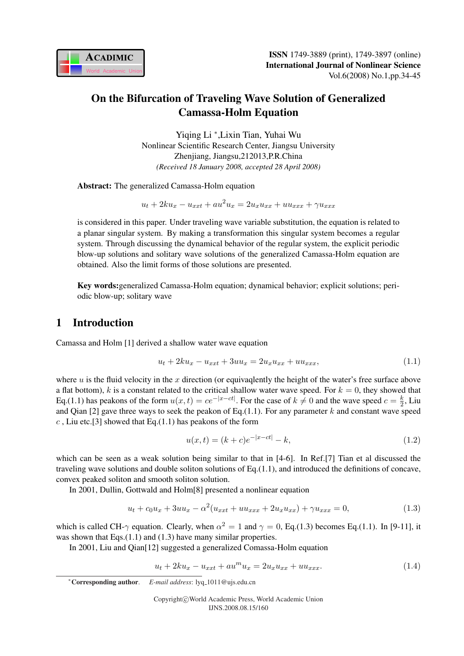

# On the Bifurcation of Traveling Wave Solution of Generalized Camassa-Holm Equation

Yiqing Li <sup>∗</sup> ,Lixin Tian, Yuhai Wu Nonlinear Scientific Research Center, Jiangsu University Zhenjiang, Jiangsu,212013,P.R.China *(Received 18 January 2008, accepted 28 April 2008)*

Abstract: The generalized Camassa-Holm equation

 $u_t + 2ku_x - u_{xxt} + au^2u_x = 2u_xu_{xx} + uu_{xxx} + \gamma u_{xxx}$ 

is considered in this paper. Under traveling wave variable substitution, the equation is related to a planar singular system. By making a transformation this singular system becomes a regular system. Through discussing the dynamical behavior of the regular system, the explicit periodic blow-up solutions and solitary wave solutions of the generalized Camassa-Holm equation are obtained. Also the limit forms of those solutions are presented.

Key words:generalized Camassa-Holm equation; dynamical behavior; explicit solutions; periodic blow-up; solitary wave

## 1 Introduction

Camassa and Holm [1] derived a shallow water wave equation

$$
u_t + 2ku_x - u_{xxt} + 3uu_x = 2u_xu_{xx} + uu_{xxx},
$$
\n(1.1)

where  $u$  is the fluid velocity in the  $x$  direction (or equivaqlently the height of the water's free surface above a flat bottom), k is a constant related to the critical shallow water wave speed. For  $k = 0$ , they showed that Eq.(1.1) has peakons of the form  $u(x,t) = ce^{-|x-ct|}$ . For the case of  $k \neq 0$  and the wave speed  $c = \frac{k}{2}$  $\frac{k}{2}$ , Liu and Qian [2] gave three ways to seek the peakon of Eq.(1.1). For any parameter  $k$  and constant wave speed  $c$ , Liu etc.[3] showed that Eq.(1.1) has peakons of the form

$$
u(x,t) = (k+c)e^{-|x-ct|} - k,
$$
\n(1.2)

which can be seen as a weak solution being similar to that in [4-6]. In Ref.[7] Tian et al discussed the traveling wave solutions and double soliton solutions of Eq.(1.1), and introduced the definitions of concave, convex peaked soliton and smooth soliton solution.

In 2001, Dullin, Gottwald and Holm[8] presented a nonlinear equation

$$
u_t + c_0 u_x + 3uu_x - \alpha^2 (u_{xxt} + uu_{xxx} + 2u_x u_{xx}) + \gamma u_{xxx} = 0,
$$
\n(1.3)

which is called CH- $\gamma$  equation. Clearly, when  $\alpha^2 = 1$  and  $\gamma = 0$ , Eq.(1.3) becomes Eq.(1.1). In [9-11], it was shown that Eqs.(1.1) and (1.3) have many similar properties.

In 2001, Liu and Qian[12] suggested a generalized Comassa-Holm equation

$$
u_t + 2ku_x - u_{xxt} + au^m u_x = 2u_x u_{xx} + uu_{xxx}.
$$
\n(1.4)

```
∗Corresponding author. E-mail address: lyq 1011@ujs.edu.cn
```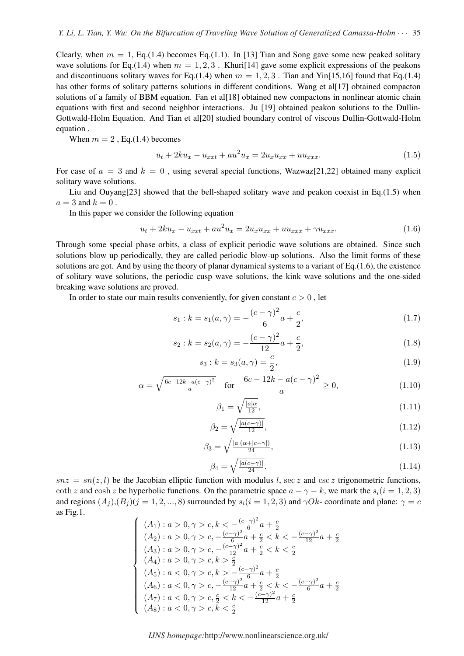Clearly, when  $m = 1$ , Eq.(1.4) becomes Eq.(1.1). In [13] Tian and Song gave some new peaked solitary wave solutions for Eq.(1.4) when  $m = 1, 2, 3$ . Khuri[14] gave some explicit expressions of the peakons and discontinuous solitary waves for Eq.(1.4) when  $m = 1, 2, 3$ . Tian and Yin[15,16] found that Eq.(1.4) has other forms of solitary patterns solutions in different conditions. Wang et al[17] obtained compacton solutions of a family of BBM equation. Fan et all [18] obtained new compactons in nonlinear atomic chain equations with first and second neighbor interactions. Ju [19] obtained peakon solutions to the Dullin-Gottwald-Holm Equation. And Tian et al[20] studied boundary control of viscous Dullin-Gottwald-Holm equation .

When  $m = 2$ , Eq.(1.4) becomes

$$
u_t + 2ku_x - u_{xxt} + au^2 u_x = 2u_x u_{xx} + uu_{xxx}.
$$
\n(1.5)

For case of  $a = 3$  and  $k = 0$ , using several special functions, Wazwaz[21,22] obtained many explicit solitary wave solutions.

Liu and Ouyang<sup>[23]</sup> showed that the bell-shaped solitary wave and peakon coexist in Eq.(1.5) when  $a = 3$  and  $k = 0$ .

In this paper we consider the following equation

$$
u_t + 2ku_x - u_{xxt} + au^2 u_x = 2u_x u_{xx} + uu_{xxx} + \gamma u_{xxx}.
$$
\n(1.6)

Through some special phase orbits, a class of explicit periodic wave solutions are obtained. Since such solutions blow up periodically, they are called periodic blow-up solutions. Also the limit forms of these solutions are got. And by using the theory of planar dynamical systems to a variant of  $Eq.(1.6)$ , the existence of solitary wave solutions, the periodic cusp wave solutions, the kink wave solutions and the one-sided breaking wave solutions are proved.

In order to state our main results conveniently, for given constant  $c > 0$ , let

$$
s_1 : k = s_1(a, \gamma) = -\frac{(c - \gamma)^2}{6}a + \frac{c}{2},\tag{1.7}
$$

$$
s_2 : k = s_2(a, \gamma) = -\frac{(c - \gamma)^2}{12}a + \frac{c}{2},\tag{1.8}
$$

$$
s_3 : k = s_3(a, \gamma) = \frac{c}{2}, \tag{1.9}
$$

$$
\alpha = \sqrt{\frac{6c - 12k - a(c - \gamma)^2}{a}} \quad \text{for} \quad \frac{6c - 12k - a(c - \gamma)^2}{a} \ge 0,
$$
\n(1.10)

$$
\beta_1 = \sqrt{\frac{|a|\alpha}{12}},\tag{1.11}
$$

$$
\beta_2 = \sqrt{\frac{|a(c-\gamma)|}{12}},\tag{1.12}
$$

$$
\beta_3 = \sqrt{\frac{|a|(\alpha + |c - \gamma|)}{24}},\tag{1.13}
$$

$$
\beta_4 = \sqrt{\frac{|a(c-\gamma)|}{24}}.\tag{1.14}
$$

 $snz = sn(z, l)$  be the Jacobian elliptic function with modulus l, sec z and csc z trigonometric functions, coth z and cosh z be hyperbolic functions. On the parametric space  $a - \gamma - k$ , we mark the  $s_i(i = 1, 2, 3)$ and regions  $(A_i)$ , $(B_i)$  $(j = 1, 2, ..., 8)$  surrounded by  $s_i$  $(i = 1, 2, 3)$  and  $\gamma Ok$ - coordinate and plane:  $\gamma = c$ as Fig.1.  $\overline{a}$ 

$$
\begin{cases}\n(A_1): a > 0, \gamma > c, k < -\frac{(c-\gamma)^2}{6}a + \frac{c}{2} \\
(A_2): a > 0, \gamma > c, -\frac{(c-\gamma)^2}{6}a + \frac{c}{2} < k < -\frac{(c-\gamma)^2}{12}a + \frac{c}{2} \\
(A_3): a > 0, \gamma > c, -\frac{(c-\gamma)^2}{12}a + \frac{c}{2} < k < \frac{c}{2} \\
(A_4): a > 0, \gamma > c, k > \frac{c}{2} \\
(A_5): a < 0, \gamma > c, k > -\frac{(c-\gamma)^2}{6}a + \frac{c}{2} \\
(A_6): a < 0, \gamma > c, -\frac{(c-\gamma)^2}{12}a + \frac{c}{2} < k < -\frac{(c-\gamma)^2}{6}a + \frac{c}{2} \\
(A_7): a < 0, \gamma > c, \frac{c}{2} < k < -\frac{(c-\gamma)^2}{12}a + \frac{c}{2} \\
(A_8): a < 0, \gamma > c, k < \frac{c}{2}\n\end{cases}
$$

*IJNS homepage:*http://www.nonlinearscience.org.uk/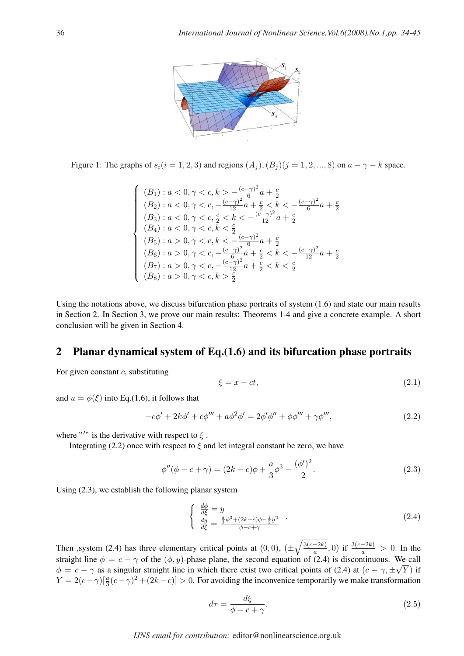

Figure 1: The graphs of  $s_i(i = 1, 2, 3)$  and regions  $(A_i), (B_i)(j = 1, 2, ..., 8)$  on  $a - \gamma - k$  space.

$$
\left\{\n\begin{array}{l} (B_1): a < 0, \gamma < c, k > -\frac{(c-\gamma)^2}{6}a + \frac{c}{2} \\ (B_2): a < 0, \gamma < c, -\frac{(c-\gamma)^2}{12}a + \frac{c}{2} < k < -\frac{(c-\gamma)^2}{6}a + \frac{c}{2} \\ (B_3): a < 0, \gamma < c, \frac{c}{2} < k < -\frac{(c-\gamma)^2}{12}a + \frac{c}{2} \\ (B_4): a < 0, \gamma < c, k < \frac{c}{2} \\ (B_5): a > 0, \gamma < c, k < -\frac{(c-\gamma)^2}{6}a + \frac{c}{2} \\ (B_6): a > 0, \gamma < c, -\frac{(c-\gamma)^2}{6}a + \frac{c}{2} < k < -\frac{(c-\gamma)^2}{12}a + \frac{c}{2} \\ (B_7): a > 0, \gamma < c, -\frac{(c-\gamma)^2}{12}a + \frac{c}{2} < k < \frac{c}{2} \\ (B_8): a > 0, \gamma < c, k > \frac{c}{2}\n\end{array}\n\right.
$$

Using the notations above, we discuss bifurcation phase portraits of system (1.6) and state our main results in Section 2. In Section 3, we prove our main results: Theorems 1-4 and give a concrete example. A short conclusion will be given in Section 4.

## 2 Planar dynamical system of Eq.(1.6) and its bifurcation phase portraits

For given constant  $c$ , substituting

$$
\xi = x - ct,\tag{2.1}
$$

and  $u = \phi(\xi)$  into Eq.(1.6), it follows that

$$
-c\phi' + 2k\phi' + c\phi''' + a\phi^2\phi' = 2\phi'\phi'' + \phi\phi''' + \gamma\phi''',
$$
\n(2.2)

where "'" is the derivative with respect to  $\xi$ .

Integrating (2.2) once with respect to  $\xi$  and let integral constant be zero, we have

$$
\phi''(\phi - c + \gamma) = (2k - c)\phi + \frac{a}{3}\phi^3 - \frac{(\phi')^2}{2}.
$$
\n(2.3)

Using (2.3), we establish the following planar system

$$
\begin{cases}\n\frac{d\phi}{d\xi} = y \\
\frac{dy}{d\xi} = \frac{\frac{a}{3}\phi^3 + (2k - c)\phi - \frac{1}{2}y^2}{\phi - c + \gamma}\n\end{cases} (2.4)
$$

Then , system (2.4) has three elementary critical points at  $(0,0)$ ,  $(\pm$  $\sqrt{3(c-2k)}$  $\frac{(-2k)}{a}$ , 0) if  $\frac{3(c-2k)}{a} > 0$ . In the straight line  $\phi = c - \gamma$  of the  $(\phi, y)$ -phase plane, the second equation of (2.4) is discontinuous. We call  $\phi = c - \gamma$  as a singular straight line in which there exist two critical points of (2.4) at  $(c - \gamma, \pm \sqrt{Y})$  if  $Y = 2(c - \gamma) \left[\frac{a}{3}(c - \gamma)^2 + (2k - c)\right] > 0$ . For avoiding the inconvenice temporarily we make transformation

$$
d\tau = \frac{d\xi}{\phi - c + \gamma}.\tag{2.5}
$$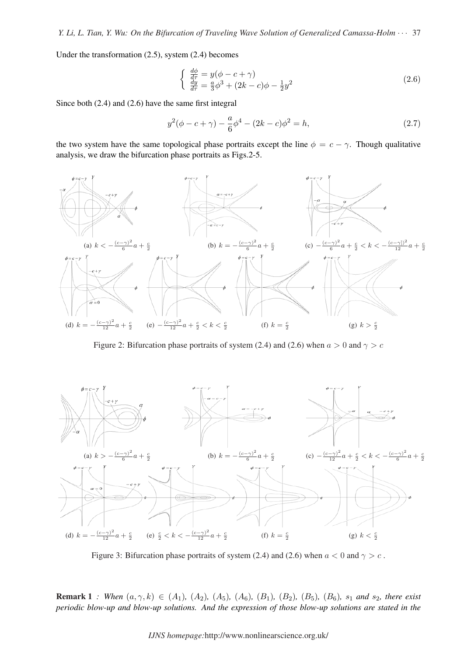Under the transformation (2.5), system (2.4) becomes

$$
\begin{cases}\n\frac{d\phi}{d\tau} = y(\phi - c + \gamma) \\
\frac{dy}{d\tau} = \frac{a}{3}\phi^3 + (2k - c)\phi - \frac{1}{2}y^2\n\end{cases}
$$
\n(2.6)

Since both (2.4) and (2.6) have the same first integral

$$
y^{2}(\phi - c + \gamma) - \frac{a}{6}\phi^{4} - (2k - c)\phi^{2} = h,
$$
\n(2.7)

the two system have the same topological phase portraits except the line  $\phi = c - \gamma$ . Though qualitative analysis, we draw the bifurcation phase portraits as Figs.2-5.



Figure 2: Bifurcation phase portraits of system (2.4) and (2.6) when  $a > 0$  and  $\gamma > c$ 



Figure 3: Bifurcation phase portraits of system (2.4) and (2.6) when  $a < 0$  and  $\gamma > c$ .

**Remark 1** *: When*  $(a, \gamma, k) \in (A_1)$ ,  $(A_2)$ ,  $(A_5)$ ,  $(A_6)$ ,  $(B_1)$ ,  $(B_2)$ ,  $(B_5)$ ,  $(B_6)$ ,  $s_1$  *and*  $s_2$ , *there exist periodic blow-up and blow-up solutions. And the expression of those blow-up solutions are stated in the*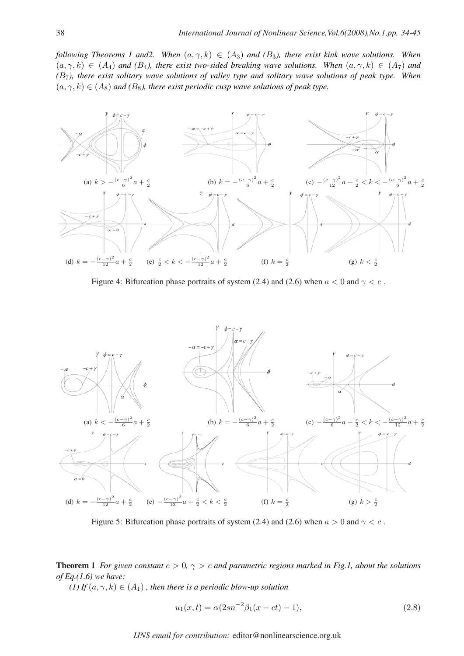*following Theorems 1 and2. When*  $(a, \gamma, k) \in (A_3)$  *and*  $(B_3)$ *, there exist kink wave solutions. When*  $(a, \gamma, k) \in (A_4)$  *and*  $(B_4)$ *, there exist two-sided breaking wave solutions. When*  $(a, \gamma, k) \in (A_7)$  *and (*B7*), there exist solitary wave solutions of valley type and solitary wave solutions of peak type. When*  $(a, \gamma, k) \in (A_8)$  *and*  $(B_8)$ *, there exist periodic cusp wave solutions of peak type.* 



Figure 4: Bifurcation phase portraits of system (2.4) and (2.6) when  $a < 0$  and  $\gamma < c$ .



Figure 5: Bifurcation phase portraits of system (2.4) and (2.6) when  $a > 0$  and  $\gamma < c$ .

**Theorem 1** *For given constant*  $c > 0$ ,  $\gamma > c$  *and parametric regions marked in Fig.1, about the solutions of Eq.(1.6) we have:*

*(1)* If  $(a, \gamma, k) \in (A_1)$ , then there is a periodic blow-up solution

$$
u_1(x,t) = \alpha (2sn^{-2}\beta_1(x-ct)-1),
$$
\n(2.8)

*IJNS email for contribution:* editor@nonlinearscience.org.uk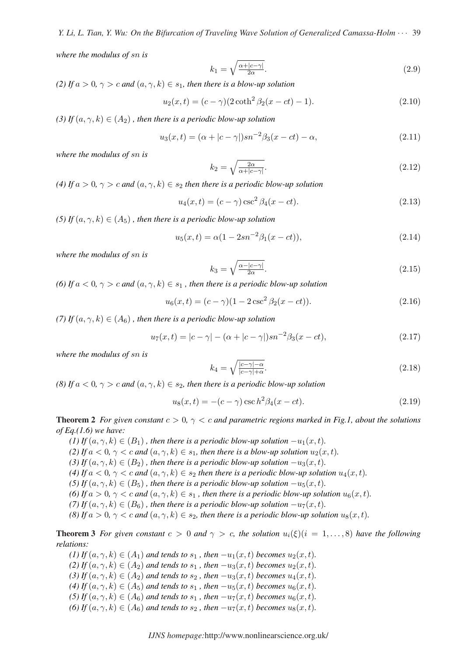*where the modulus of* sn *is*

$$
k_1 = \sqrt{\frac{\alpha + |c - \gamma|}{2\alpha}}.\tag{2.9}
$$

*(2) If*  $a > 0$ ,  $\gamma > c$  *and*  $(a, \gamma, k) \in s_1$ , then there is a blow-up solution

$$
u_2(x,t) = (c - \gamma)(2 \coth^2 \beta_2(x - ct) - 1). \tag{2.10}
$$

*(3) If*  $(a, \gamma, k) \in (A_2)$ , then there is a periodic blow-up solution

$$
u_3(x,t) = (\alpha + |c - \gamma|)sn^{-2}\beta_3(x - ct) - \alpha,
$$
\n(2.11)

*where the modulus of* sn *is*

$$
k_2 = \sqrt{\frac{2\alpha}{\alpha + |c - \gamma|}}.\tag{2.12}
$$

*(4) If*  $a > 0$ ,  $\gamma > c$  *and*  $(a, \gamma, k) \in s_2$  *then there is a periodic blow-up solution* 

$$
u_4(x,t) = (c - \gamma)\csc^2\beta_4(x - ct).
$$
 (2.13)

*(5) If*  $(a, \gamma, k) \in (A_5)$ , then there is a periodic blow-up solution

$$
u_5(x,t) = \alpha(1 - 2sn^{-2}\beta_1(x - ct)),
$$
\n(2.14)

*where the modulus of* sn *is*

$$
k_3 = \sqrt{\frac{\alpha - |c - \gamma|}{2\alpha}}.\tag{2.15}
$$

*(6) If*  $a < 0$ ,  $\gamma > c$  *and*  $(a, \gamma, k) \in s_1$ , *then there is a periodic blow-up solution* 

$$
u_6(x,t) = (c - \gamma)(1 - 2\csc^2\beta_2(x - ct)).
$$
\n(2.16)

*(7)* If  $(a, \gamma, k) \in (A_6)$ , then there is a periodic blow-up solution

$$
u_7(x,t) = |c - \gamma| - (\alpha + |c - \gamma|) sn^{-2} \beta_3(x - ct), \qquad (2.17)
$$

*where the modulus of* sn *is*

$$
k_4 = \sqrt{\frac{|c-\gamma|-\alpha}{|c-\gamma|+\alpha}}.\tag{2.18}
$$

*(8) If*  $a < 0$ ,  $\gamma > c$  *and*  $(a, \gamma, k) \in s_2$ , *then there is a periodic blow-up solution* 

$$
u_8(x,t) = -(c - \gamma)\csc h^2 \beta_4(x - ct).
$$
 (2.19)

**Theorem 2** *For given constant*  $c > 0$ ,  $\gamma < c$  *and parametric regions marked in Fig.1, about the solutions of Eq.(1.6) we have:*

(1) If  $(a, \gamma, k) \in (B_1)$ , then there is a periodic blow-up solution  $-u_1(x, t)$ . *(2)* If  $a < 0$ ,  $\gamma < c$  and  $(a, \gamma, k) \in s_1$ , then there is a blow-up solution  $u_2(x, t)$ . (3) If  $(a, \gamma, k) \in (B_2)$ , then there is a periodic blow-up solution  $-u_3(x, t)$ . (4) If  $a < 0$ ,  $\gamma < c$  and  $(a, \gamma, k) \in s_2$  then there is a periodic blow-up solution  $u_4(x, t)$ . (5) If  $(a, \gamma, k) \in (B_5)$ , then there is a periodic blow-up solution  $-u_5(x, t)$ . (6) If  $a > 0$ ,  $\gamma < c$  and  $(a, \gamma, k) \in s_1$ , then there is a periodic blow-up solution  $u_6(x, t)$ . (7) If  $(a, \gamma, k) \in (B_6)$ , then there is a periodic blow-up solution  $-u_7(x, t)$ . *(8)* If  $a > 0$ ,  $\gamma < c$  and  $(a, \gamma, k) \in s_2$ , then there is a periodic blow-up solution  $u_8(x, t)$ .

**Theorem 3** *For given constant*  $c > 0$  *and*  $\gamma > c$ *, the solution*  $u_i(\xi)(i = 1, \ldots, 8)$  *have the following relations:*

(1) If  $(a, \gamma, k) \in (A_1)$  and tends to  $s_1$ , then  $-u_1(x, t)$  becomes  $u_2(x, t)$ . (2) If  $(a, \gamma, k) \in (A_2)$  and tends to  $s_1$ , then  $-u_3(x, t)$  becomes  $u_2(x, t)$ . (3) If  $(a, \gamma, k) \in (A_2)$  *and tends to*  $s_2$ , *then*  $-u_3(x, t)$  *becomes*  $u_4(x, t)$ *. (4) If*  $(a, \gamma, k) \in (A_5)$  *and tends to*  $s_1$ , *then*  $-u_5(x, t)$  *becomes*  $u_6(x, t)$ *. (5) If*  $(a, \gamma, k) \in (A_6)$  *and tends to*  $s_1$ , *then*  $-u_7(x, t)$  *becomes*  $u_6(x, t)$ *.* (6) If  $(a, \gamma, k) \in (A_6)$  *and tends to*  $s_2$ , *then*  $-u_7(x, t)$  *becomes*  $u_8(x, t)$ *.*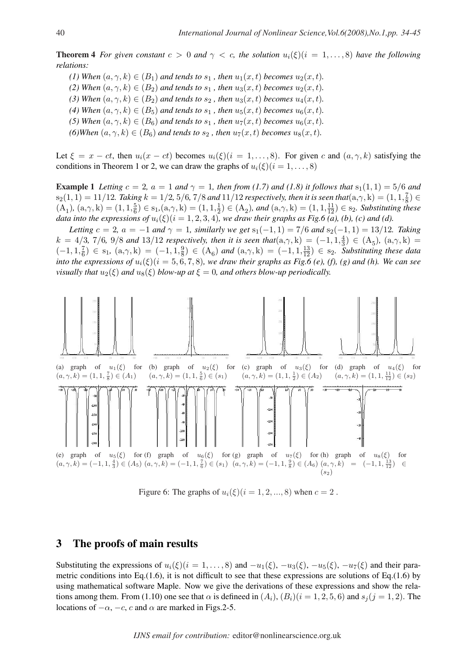**Theorem 4** *For given constant*  $c > 0$  *and*  $\gamma < c$ , *the solution*  $u_i(\xi)(i = 1, \ldots, 8)$  *have the following relations:*

*(1) When*  $(a, \gamma, k) \in (B_1)$  *and tends to*  $s_1$ , *then*  $u_1(x, t)$  *becomes*  $u_2(x, t)$ *.* 

- *(2) When*  $(a, \gamma, k) \in (B_2)$  *and tends to*  $s_1$ , *then*  $u_3(x, t)$  *becomes*  $u_2(x, t)$ *.*
- (3) When  $(a, \gamma, k) \in (B_2)$  *and tends to*  $s_2$ , *then*  $u_3(x, t)$  *becomes*  $u_4(x, t)$ *.*
- (4) When  $(a, \gamma, k) \in (B_5)$  *and tends to*  $s_1$ , *then*  $u_5(x, t)$  *becomes*  $u_6(x, t)$ *.*
- (5) When  $(a, \gamma, k) \in (B_6)$  *and tends to*  $s_1$ , *then*  $u_7(x, t)$  *becomes*  $u_6(x, t)$ *.*
- *(6)When*  $(a, \gamma, k) \in (B_6)$  *and tends to*  $s_2$ , *then*  $u_7(x, t)$  *becomes*  $u_8(x, t)$ *.*

Let  $\xi = x - ct$ , then  $u_i(x - ct)$  becomes  $u_i(\xi)(i = 1, \ldots, 8)$ . For given c and  $(a, \gamma, k)$  satisfying the conditions in Theorem 1 or 2, we can draw the graphs of  $u_i(\xi)(i = 1, \ldots, 8)$ 

**Example 1** Letting  $c = 2$ ,  $a = 1$  and  $\gamma = 1$ , then from (1.7) and (1.8) it follows that  $s_1(1,1) = 5/6$  and  $s_2(1,1)=11/12$ . Taking  $k=1/2$ ,  $5/6$ ,  $7/8$  and  $11/12$  respectively, then it is seen that $(a,\gamma,k)=(1,1,\frac{7}{8})$  $\frac{7}{8}) \in$  $(A_1), (a, \gamma, k) = (1, 1, \frac{5}{6})$  $(\frac{5}{6}) \in s_1, (a, \gamma, k) = (1, 1, \frac{1}{2})$  $(\frac{1}{2}) \in (A_2)$ , and  $(a, \gamma, k) = (1, 1, \frac{11}{12}) \in s_2$ . Substituting these *data into the expressions of*  $u_i(\xi)(i = 1, 2, 3, 4)$ *, we draw their graphs as Fig.6 (a), (b), (c) and (d).* 

*Letting*  $c = 2$ ,  $a = -1$  *and*  $\gamma = 1$ *, similarly we get*  $s_1(-1, 1) = 7/6$  *and*  $s_2(-1, 1) = 13/12$ *. Taking*  $k = 4/3, 7/6, 9/8$  *and* 13/12 *respectively, then it is seen that* $(a, \gamma, k) = (-1, 1, \frac{4}{3})$  $(\frac{4}{3}) \in (A_5), (a, \gamma, k) =$  $(-1, 1, \frac{7}{6})$  $\left(\frac{7}{6}\right) \in s_1, (a, \gamma, k) = (-1, 1, \frac{9}{8})$  $\frac{9}{8}$ )  $\in$  (A<sub>6</sub>) and (a, $\gamma$ , k) = (-1, 1, $\frac{13}{12}$ )  $\in$  s<sub>2</sub>. Substituting these data *into the expressions of*  $u_i(\xi)(i = 5, 6, 7, 8)$ *, we draw their graphs as Fig.6 (e), (f), (g) and (h). We can see visually that*  $u_2(\xi)$  *and*  $u_8(\xi)$  *blow-up at*  $\xi = 0$ *, and others blow-up periodically.* 



Figure 6: The graphs of  $u_i(\xi)(i = 1, 2, ..., 8)$  when  $c = 2$ .

## 3 The proofs of main results

Substituting the expressions of  $u_i(\xi)(i = 1, \ldots, 8)$  and  $-u_1(\xi), -u_3(\xi), -u_5(\xi), -u_7(\xi)$  and their parametric conditions into Eq.(1.6), it is not difficult to see that these expressions are solutions of Eq.(1.6) by using mathematical software Maple. Now we give the derivations of these expressions and show the relations among them. From (1.10) one see that  $\alpha$  is defineed in  $(A_i)$ ,  $(B_i)(i = 1, 2, 5, 6)$  and  $s_i(j = 1, 2)$ . The locations of  $-\alpha$ ,  $-c$ ,  $c$  and  $\alpha$  are marked in Figs.2-5.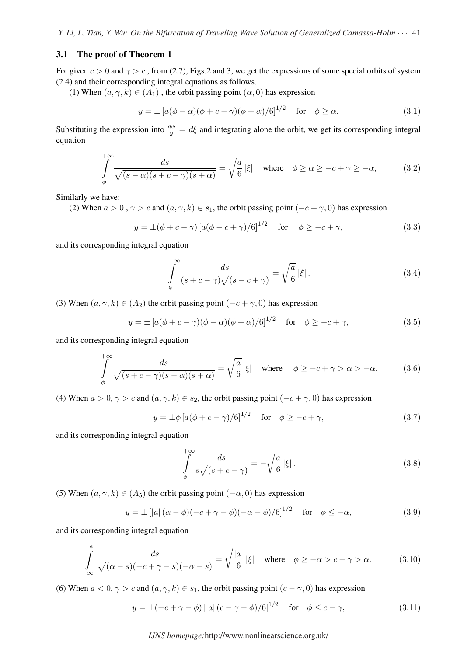#### 3.1 The proof of Theorem 1

For given  $c > 0$  and  $\gamma > c$ , from (2.7), Figs.2 and 3, we get the expressions of some special orbits of system (2.4) and their corresponding integral equations as follows.

(1) When  $(a, \gamma, k) \in (A_1)$ , the orbit passing point  $(\alpha, 0)$  has expression

$$
y = \pm \left[ a(\phi - \alpha)(\phi + c - \gamma)(\phi + \alpha)/6 \right]^{1/2} \quad \text{for} \quad \phi \ge \alpha. \tag{3.1}
$$

Substituting the expression into  $\frac{d\phi}{y} = d\xi$  and integrating alone the orbit, we get its corresponding integral equation

$$
\int_{\phi}^{+\infty} \frac{ds}{\sqrt{(s-\alpha)(s+c-\gamma)(s+\alpha)}} = \sqrt{\frac{a}{6}} |\xi| \quad \text{where} \quad \phi \ge \alpha \ge -c+\gamma \ge -\alpha,\tag{3.2}
$$

Similarly we have:

(2) When  $a > 0$ ,  $\gamma > c$  and  $(a, \gamma, k) \in s_1$ , the orbit passing point  $(-c + \gamma, 0)$  has expression

$$
y = \pm (\phi + c - \gamma) [a(\phi - c + \gamma)/6]^{1/2}
$$
 for  $\phi \ge -c + \gamma$ , (3.3)

and its corresponding integral equation

$$
\int_{\phi}^{+\infty} \frac{ds}{(s+c-\gamma)\sqrt{(s-c+\gamma)}} = \sqrt{\frac{a}{6}} |\xi|.
$$
\n(3.4)

(3) When  $(a, \gamma, k) \in (A_2)$  the orbit passing point  $(-c + \gamma, 0)$  has expression

$$
y = \pm [a(\phi + c - \gamma)(\phi - \alpha)(\phi + \alpha)/6]^{1/2}
$$
 for  $\phi \ge -c + \gamma$ , (3.5)

and its corresponding integral equation

$$
\int_{\phi}^{+\infty} \frac{ds}{\sqrt{(s+c-\gamma)(s-\alpha)(s+\alpha)}} = \sqrt{\frac{a}{6}} |\xi| \quad \text{where} \quad \phi \ge -c+\gamma > \alpha > -\alpha. \tag{3.6}
$$

(4) When  $a > 0$ ,  $\gamma > c$  and  $(a, \gamma, k) \in s_2$ , the orbit passing point  $(-c + \gamma, 0)$  has expression

$$
y = \pm \phi \left[ a(\phi + c - \gamma)/6 \right]^{1/2}
$$
 for  $\phi \ge -c + \gamma$ , (3.7)

and its corresponding integral equation

$$
\int_{\phi}^{+\infty} \frac{ds}{s\sqrt{(s+c-\gamma)}} = -\sqrt{\frac{a}{6}} |\xi|.
$$
\n(3.8)

(5) When  $(a, \gamma, k) \in (A_5)$  the orbit passing point  $(-\alpha, 0)$  has expression

$$
y = \pm \left[ |a| \left( \alpha - \phi \right) (-c + \gamma - \phi) (-\alpha - \phi) / 6 \right]^{1/2} \quad \text{for} \quad \phi \le -\alpha,
$$
 (3.9)

and its corresponding integral equation

$$
\int_{-\infty}^{\phi} \frac{ds}{\sqrt{(\alpha - s)(-c + \gamma - s)(-\alpha - s)}} = \sqrt{\frac{|a|}{6}} |\xi| \quad \text{where} \quad \phi \ge -\alpha > c - \gamma > \alpha. \tag{3.10}
$$

(6) When  $a < 0, \gamma > c$  and  $(a, \gamma, k) \in s_1$ , the orbit passing point  $(c - \gamma, 0)$  has expression

$$
y = \pm(-c + \gamma - \phi) [|a| (c - \gamma - \phi)/6]^{1/2} \quad \text{for} \quad \phi \le c - \gamma,
$$
 (3.11)

#### *IJNS homepage:*http://www.nonlinearscience.org.uk/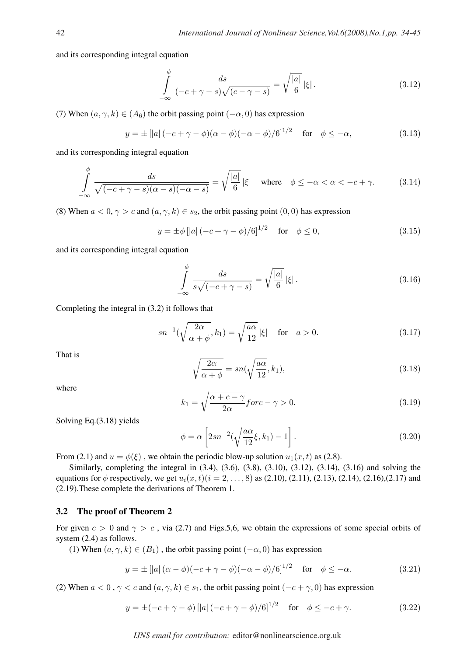and its corresponding integral equation

$$
\int_{-\infty}^{\phi} \frac{ds}{(-c+\gamma-s)\sqrt{(c-\gamma-s)}} = \sqrt{\frac{|a|}{6}} |\xi|.
$$
\n(3.12)

(7) When  $(a, \gamma, k) \in (A_6)$  the orbit passing point  $(-\alpha, 0)$  has expression

$$
y = \pm \left[ |a| \left( -c + \gamma - \phi \right) (\alpha - \phi) (-\alpha - \phi) / 6 \right]^{1/2} \quad \text{for} \quad \phi \le -\alpha,\tag{3.13}
$$

and its corresponding integral equation

$$
\int_{-\infty}^{\phi} \frac{ds}{\sqrt{(-c+\gamma-s)(\alpha-s)(-\alpha-s)}} = \sqrt{\frac{|a|}{6}} |\xi| \quad \text{where} \quad \phi \le -\alpha < \alpha < -c + \gamma. \tag{3.14}
$$

(8) When  $a < 0, \gamma > c$  and  $(a, \gamma, k) \in s_2$ , the orbit passing point  $(0, 0)$  has expression

$$
y = \pm \phi \left[ |a| \left( -c + \gamma - \phi \right) / 6 \right]^{1/2} \quad \text{for} \quad \phi \le 0,
$$
 (3.15)

and its corresponding integral equation

$$
\int_{-\infty}^{\phi} \frac{ds}{s\sqrt{(-c+\gamma-s)}} = \sqrt{\frac{|a|}{6}} |\xi|.
$$
\n(3.16)

Completing the integral in (3.2) it follows that

$$
sn^{-1}(\sqrt{\frac{2\alpha}{\alpha+\phi}},k_1) = \sqrt{\frac{a\alpha}{12}}|\xi| \quad \text{for} \quad a > 0. \tag{3.17}
$$

That is

$$
\sqrt{\frac{2\alpha}{\alpha + \phi}} = sn(\sqrt{\frac{a\alpha}{12}}, k_1),\tag{3.18}
$$

where

$$
k_1 = \sqrt{\frac{\alpha + c - \gamma}{2\alpha}} \text{ for } c - \gamma > 0. \tag{3.19}
$$

Solving Eq.(3.18) yields

$$
\phi = \alpha \left[ 2sn^{-2}(\sqrt{\frac{a\alpha}{12}}\xi, k_1) - 1 \right].
$$
\n(3.20)

From (2.1) and  $u = \phi(\xi)$ , we obtain the periodic blow-up solution  $u_1(x, t)$  as (2.8).

Similarly, completing the integral in (3.4), (3.6), (3.8), (3.10), (3.12), (3.14), (3.16) and solving the equations for  $\phi$  respectively, we get  $u_i(x, t)$  (i = 2, ..., 8) as (2.10), (2.11), (2.13), (2.14), (2.16), (2.17) and (2.19).These complete the derivations of Theorem 1.

#### 3.2 The proof of Theorem 2

For given  $c > 0$  and  $\gamma > c$ , via (2.7) and Figs.5,6, we obtain the expressions of some special orbits of system (2.4) as follows.

(1) When  $(a, \gamma, k) \in (B_1)$ , the orbit passing point  $(-\alpha, 0)$  has expression

$$
y = \pm \left[ |a| \left( \alpha - \phi \right) (-c + \gamma - \phi) (-\alpha - \phi) / 6 \right]^{1/2} \quad \text{for} \quad \phi \le -\alpha. \tag{3.21}
$$

(2) When  $a < 0$ ,  $\gamma < c$  and  $(a, \gamma, k) \in s_1$ , the orbit passing point  $(-c + \gamma, 0)$  has expression

$$
y = \pm(-c + \gamma - \phi) [ |a| (-c + \gamma - \phi)/6 ]^{1/2} \quad \text{for} \quad \phi \le -c + \gamma. \tag{3.22}
$$

*IJNS email for contribution:* editor@nonlinearscience.org.uk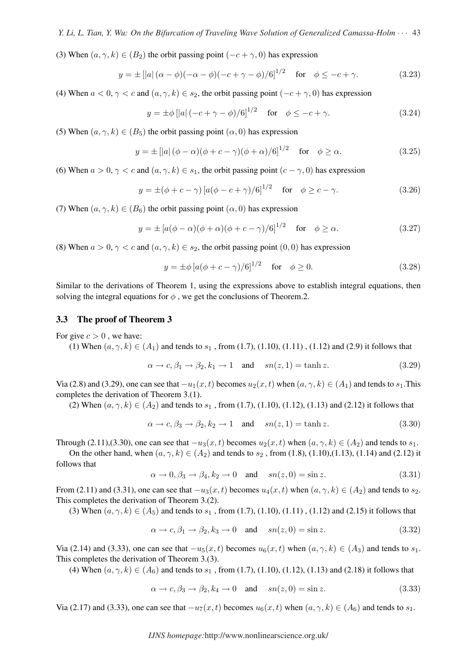(3) When  $(a, \gamma, k) \in (B_2)$  the orbit passing point  $(-c + \gamma, 0)$  has expression

$$
y = \pm \left[ |a| \left( \alpha - \phi \right) (-\alpha - \phi) (-c + \gamma - \phi) / 6 \right]^{1/2} \quad \text{for} \quad \phi \le -c + \gamma. \tag{3.23}
$$

(4) When  $a < 0, \gamma < c$  and  $(a, \gamma, k) \in s_2$ , the orbit passing point  $(-c + \gamma, 0)$  has expression

$$
y = \pm \phi \left[ |a| \left( -c + \gamma - \phi \right) / 6 \right]^{1/2}
$$
 for  $\phi \leq -c + \gamma$ . (3.24)

(5) When  $(a, \gamma, k) \in (B_5)$  the orbit passing point  $(\alpha, 0)$  has expression

$$
y = \pm \left[ |a| \left( \phi - \alpha \right) (\phi + c - \gamma) (\phi + \alpha) / 6 \right]^{1/2} \quad \text{for} \quad \phi \ge \alpha. \tag{3.25}
$$

(6) When  $a > 0, \gamma < c$  and  $(a, \gamma, k) \in s_1$ , the orbit passing point  $(c - \gamma, 0)$  has expression

$$
y = \pm (\phi + c - \gamma) [a(\phi - c + \gamma)/6]^{1/2}
$$
 for  $\phi \ge c - \gamma$ . (3.26)

(7) When  $(a, \gamma, k) \in (B_6)$  the orbit passing point  $(\alpha, 0)$  has expression

$$
y = \pm \left[ a(\phi - \alpha)(\phi + \alpha)(\phi + c - \gamma)/6 \right]^{1/2} \quad \text{for} \quad \phi \ge \alpha. \tag{3.27}
$$

(8) When  $a > 0, \gamma < c$  and  $(a, \gamma, k) \in s_2$ , the orbit passing point  $(0, 0)$  has expression

$$
y = \pm \phi \left[ a(\phi + c - \gamma)/6 \right]^{1/2}
$$
 for  $\phi \ge 0$ . (3.28)

Similar to the derivations of Theorem 1, using the expressions above to establish integral equations, then solving the integral equations for  $\phi$ , we get the conclusions of Theorem.2.

#### 3.3 The proof of Theorem 3

For give  $c > 0$ , we have:

(1) When  $(a, \gamma, k) \in (A_1)$  and tends to  $s_1$ , from (1.7), (1.10), (1.11), (1.12) and (2.9) it follows that

$$
\alpha \to c, \beta_1 \to \beta_2, k_1 \to 1 \quad \text{and} \quad sn(z, 1) = \tanh z. \tag{3.29}
$$

Via (2.8) and (3.29), one can see that  $-u_1(x,t)$  becomes  $u_2(x,t)$  when  $(a, \gamma, k) \in (A_1)$  and tends to  $s_1$ . This completes the derivation of Theorem 3.(1).

(2) When  $(a, \gamma, k) \in (A_2)$  and tends to  $s_1$ , from (1.7), (1.10), (1.12), (1.13) and (2.12) it follows that

$$
\alpha \to c, \beta_3 \to \beta_2, k_2 \to 1 \quad \text{and} \quad sn(z, 1) = \tanh z. \tag{3.30}
$$

Through (2.11),(3.30), one can see that  $-u_3(x,t)$  becomes  $u_2(x,t)$  when  $(a, \gamma, k) \in (A_2)$  and tends to  $s_1$ .

On the other hand, when  $(a, \gamma, k) \in (A_2)$  and tends to  $s_2$ , from (1.8), (1.10), (1.13), (1.14) and (2.12) it follows that

$$
\alpha \to 0, \beta_3 \to \beta_4, k_2 \to 0 \quad \text{and} \quad sn(z,0) = \sin z. \tag{3.31}
$$

From (2.11) and (3.31), one can see that  $-u_3(x,t)$  becomes  $u_4(x,t)$  when  $(a, \gamma, k) \in (A_2)$  and tends to  $s_2$ . This completes the derivation of Theorem 3.(2).

(3) When  $(a, \gamma, k) \in (A_5)$  and tends to  $s_1$ , from (1.7), (1.10), (1.11), (1.12) and (2.15) it follows that

$$
\alpha \to c, \beta_1 \to \beta_2, k_3 \to 0 \quad \text{and} \quad sn(z, 0) = \sin z. \tag{3.32}
$$

Via (2.14) and (3.33), one can see that  $-u_5(x,t)$  becomes  $u_6(x,t)$  when  $(a, \gamma, k) \in (A_3)$  and tends to  $s_1$ . This completes the derivation of Theorem 3.(3).

(4) When  $(a, \gamma, k) \in (A_6)$  and tends to  $s_1$ , from (1.7), (1.10), (1.12), (1.13) and (2.18) it follows that

$$
\alpha \to c, \beta_3 \to \beta_2, k_4 \to 0 \quad \text{and} \quad sn(z,0) = \sin z. \tag{3.33}
$$

Via (2.17) and (3.33), one can see that  $-u_7(x,t)$  becomes  $u_6(x,t)$  when  $(a, \gamma, k) \in (A_6)$  and tends to  $s_1$ .

*IJNS homepage:*http://www.nonlinearscience.org.uk/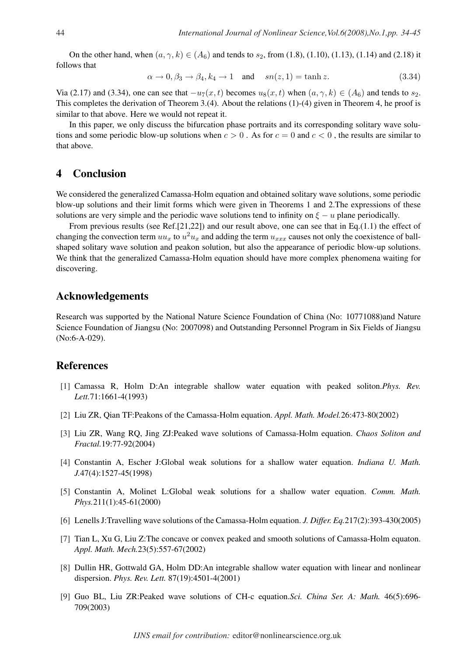On the other hand, when  $(a, \gamma, k) \in (A_6)$  and tends to  $s_2$ , from (1.8), (1.10), (1.13), (1.14) and (2.18) it follows that

$$
\alpha \to 0, \beta_3 \to \beta_4, k_4 \to 1 \quad \text{and} \quad sn(z, 1) = \tanh z. \tag{3.34}
$$

Via (2.17) and (3.34), one can see that  $-u_7(x,t)$  becomes  $u_8(x,t)$  when  $(a, \gamma, k) \in (A_6)$  and tends to  $s_2$ . This completes the derivation of Theorem 3.(4). About the relations (1)-(4) given in Theorem 4, he proof is similar to that above. Here we would not repeat it.

In this paper, we only discuss the bifurcation phase portraits and its corresponding solitary wave solutions and some periodic blow-up solutions when  $c > 0$ . As for  $c = 0$  and  $c < 0$ , the results are similar to that above.

### 4 Conclusion

We considered the generalized Camassa-Holm equation and obtained solitary wave solutions, some periodic blow-up solutions and their limit forms which were given in Theorems 1 and 2.The expressions of these solutions are very simple and the periodic wave solutions tend to infinity on  $\xi - u$  plane periodically.

From previous results (see Ref.[21,22]) and our result above, one can see that in Eq.(1.1) the effect of changing the convection term  $uu_x$  to  $u^2u_x$  and adding the term  $u_{xxx}$  causes not only the coexistence of ballshaped solitary wave solution and peakon solution, but also the appearance of periodic blow-up solutions. We think that the generalized Camassa-Holm equation should have more complex phenomena waiting for discovering.

## Acknowledgements

Research was supported by the National Nature Science Foundation of China (No: 10771088)and Nature Science Foundation of Jiangsu (No: 2007098) and Outstanding Personnel Program in Six Fields of Jiangsu (No:6-A-029).

## References

- [1] Camassa R, Holm D:An integrable shallow water equation with peaked soliton.*Phys. Rev. Lett.*71:1661-4(1993)
- [2] Liu ZR, Qian TF:Peakons of the Camassa-Holm equation. *Appl. Math. Model.*26:473-80(2002)
- [3] Liu ZR, Wang RQ, Jing ZJ:Peaked wave solutions of Camassa-Holm equation. *Chaos Soliton and Fractal.*19:77-92(2004)
- [4] Constantin A, Escher J:Global weak solutions for a shallow water equation. *Indiana U. Math. J.*47(4):1527-45(1998)
- [5] Constantin A, Molinet L:Global weak solutions for a shallow water equation. *Comm. Math. Phys.*211(1):45-61(2000)
- [6] Lenells J:Travelling wave solutions of the Camassa-Holm equation. *J. Differ. Eq.*217(2):393-430(2005)
- [7] Tian L, Xu G, Liu Z:The concave or convex peaked and smooth solutions of Camassa-Holm equaton. *Appl. Math. Mech.*23(5):557-67(2002)
- [8] Dullin HR, Gottwald GA, Holm DD:An integrable shallow water equation with linear and nonlinear dispersion. *Phys. Rev. Lett.* 87(19):4501-4(2001)
- [9] Guo BL, Liu ZR:Peaked wave solutions of CH-c equation.*Sci. China Ser. A: Math.* 46(5):696- 709(2003)